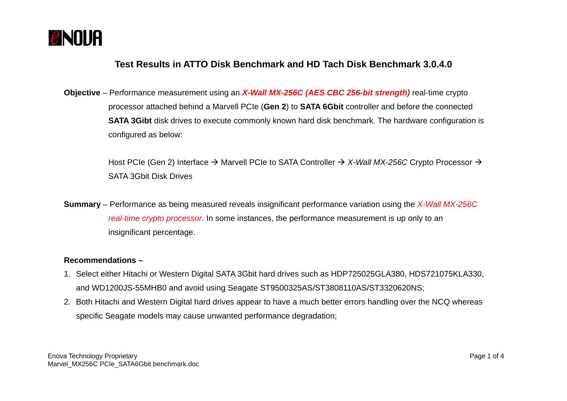

## **Test Results in ATTO Disk Benchmark and HD Tach Disk Benchmark 3.0.4.0**

**Objective** – Performance measurement using an *X-Wall MX-256C (AES CBC 256-bit strength)* real-time crypto processor attached behind a Marvell PCIe (**Gen 2**) to **SATA 6Gbit** controller and before the connected **SATA 3Gibt** disk drives to execute commonly known hard disk benchmark. The hardware configuration is configured as below:

> Host PCIe (Gen 2) Interface  $\rightarrow$  Marvell PCIe to SATA Controller  $\rightarrow$  X-Wall MX-256C Crypto Processor  $\rightarrow$ SATA 3Gbit Disk Drives

**Summary** – Performance as being measured reveals insignificant performance variation using the *X-Wall MX-256C real-time crypto processor*. In some instances, the performance measurement is up only to an insignificant percentage.

## **Recommendations –**

- 1. Select either Hitachi or Western Digital SATA 3Gbit hard drives such as HDP725025GLA380, HDS721075KLA330, and WD1200JS-55MHB0 and avoid using Seagate ST9500325AS/ST3808110AS/ST3320620NS;
- 2. Both Hitachi and Western Digital hard drives appear to have a much better errors handling over the NCQ whereas specific Seagate models may cause unwanted performance degradation;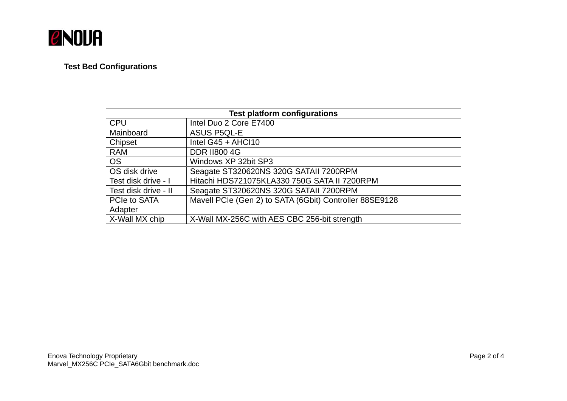

## **Test Bed Configurations**

| <b>Test platform configurations</b> |                                                         |
|-------------------------------------|---------------------------------------------------------|
| <b>CPU</b>                          | Intel Duo 2 Core E7400                                  |
| Mainboard                           | <b>ASUS P5QL-E</b>                                      |
| Chipset                             | Intel $G45 + AHCl10$                                    |
| <b>RAM</b>                          | <b>DDR II800 4G</b>                                     |
| <b>OS</b>                           | Windows XP 32bit SP3                                    |
| OS disk drive                       | Seagate ST320620NS 320G SATAII 7200RPM                  |
| Test disk drive - I                 | Hitachi HDS721075KLA330 750G SATA II 7200RPM            |
| Test disk drive - II                | Seagate ST320620NS 320G SATAII 7200RPM                  |
| PCIe to SATA                        | Mavell PCIe (Gen 2) to SATA (6Gbit) Controller 88SE9128 |
| Adapter                             |                                                         |
| X-Wall MX chip                      | X-Wall MX-256C with AES CBC 256-bit strength            |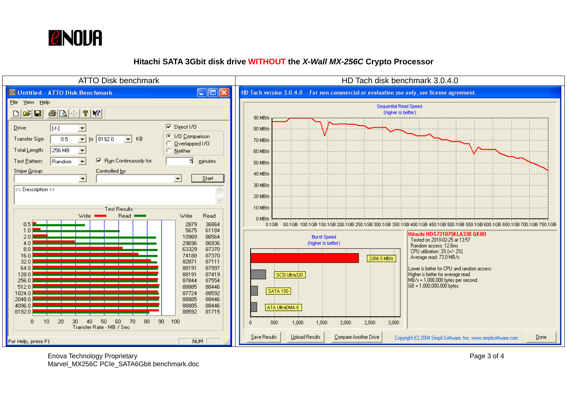

## **Hitachi SATA 3Gbit disk drive WITHOUT the** *X-Wall MX-256C* **Crypto Processor**